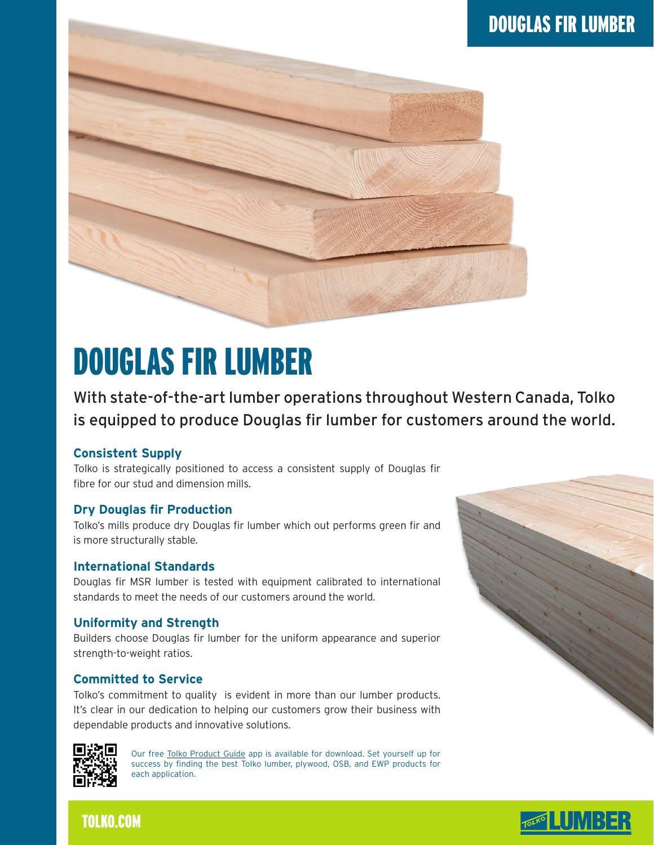

# DOUGLAS FIR LUMBER

With state-of-the-art lumber operations throughout Western Canada, Tolko is equipped to produce Douglas fir lumber for customers around the world.

# **Consistent Supply**

Tolko is strategically positioned to access a consistent supply of Douglas fir fibre for our stud and dimension mills.

# **Dry Douglas fir Production**

Tolko's mills produce dry Douglas fir lumber which out performs green fir and is more structurally stable.

#### **International Standards**

Douglas fir MSR lumber is tested with equipment calibrated to international standards to meet the needs of our customers around the world.

# **Uniformity and Strength**

Builders choose Douglas fir lumber for the uniform appearance and superior strength-to-weight ratios.

# **Committed to Service**

Tolko's commitment to quality is evident in more than our lumber products. It's clear in our dedication to helping our customers grow their business with dependable products and innovative solutions.



Our free Tolko Product Guide app is available for download. Set yourself up for success by finding the best Tolko lumber, plywood, OSB, and EWP products for each application.





# TOLKO.COM